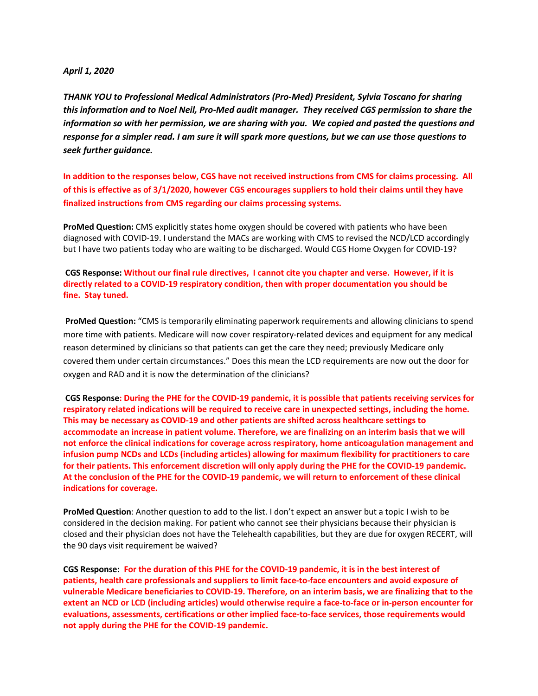## *April 1, 2020*

*THANK YOU to Professional Medical Administrators (Pro-Med) President, Sylvia Toscano for sharing this information and to Noel Neil, Pro-Med audit manager. They received CGS permission to share the information so with her permission, we are sharing with you. We copied and pasted the questions and response for a simpler read. I am sure it will spark more questions, but we can use those questions to seek further guidance.* 

**In addition to the responses below, CGS have not received instructions from CMS for claims processing. All of this is effective as of 3/1/2020, however CGS encourages suppliers to hold their claims until they have finalized instructions from CMS regarding our claims processing systems.** 

**ProMed Question:** CMS explicitly states home oxygen should be covered with patients who have been diagnosed with COVID-19. I understand the MACs are working with CMS to revised the NCD/LCD accordingly but I have two patients today who are waiting to be discharged. Would CGS Home Oxygen for COVID-19?

 **CGS Response: Without our final rule directives, I cannot cite you chapter and verse. However, if it is directly related to a COVID-19 respiratory condition, then with proper documentation you should be fine. Stay tuned.**

 **ProMed Question:** "CMS is temporarily eliminating paperwork requirements and allowing clinicians to spend more time with patients. Medicare will now cover respiratory-related devices and equipment for any medical reason determined by clinicians so that patients can get the care they need; previously Medicare only covered them under certain circumstances." Does this mean the LCD requirements are now out the door for oxygen and RAD and it is now the determination of the clinicians?

**CGS Response: During the PHE for the COVID-19 pandemic, it is possible that patients receiving services for respiratory related indications will be required to receive care in unexpected settings, including the home. This may be necessary as COVID-19 and other patients are shifted across healthcare settings to accommodate an increase in patient volume. Therefore, we are finalizing on an interim basis that we will not enforce the clinical indications for coverage across respiratory, home anticoagulation management and infusion pump NCDs and LCDs (including articles) allowing for maximum flexibility for practitioners to care for their patients. This enforcement discretion will only apply during the PHE for the COVID-19 pandemic. At the conclusion of the PHE for the COVID-19 pandemic, we will return to enforcement of these clinical indications for coverage.**

**ProMed Question**: Another question to add to the list. I don't expect an answer but a topic I wish to be considered in the decision making. For patient who cannot see their physicians because their physician is closed and their physician does not have the Telehealth capabilities, but they are due for oxygen RECERT, will the 90 days visit requirement be waived?

**CGS Response: For the duration of this PHE for the COVID-19 pandemic, it is in the best interest of patients, health care professionals and suppliers to limit face-to-face encounters and avoid exposure of vulnerable Medicare beneficiaries to COVID-19. Therefore, on an interim basis, we are finalizing that to the extent an NCD or LCD (including articles) would otherwise require a face-to-face or in-person encounter for evaluations, assessments, certifications or other implied face-to-face services, those requirements would not apply during the PHE for the COVID-19 pandemic.**